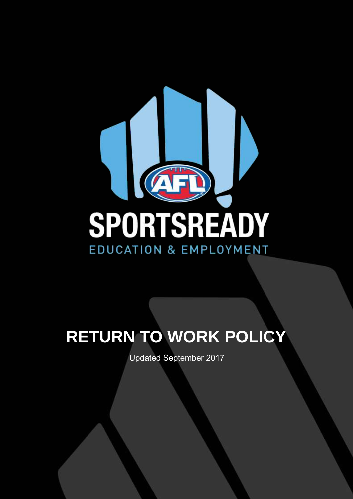

# **RETURN TO WORK POLICY**

Updated September 2017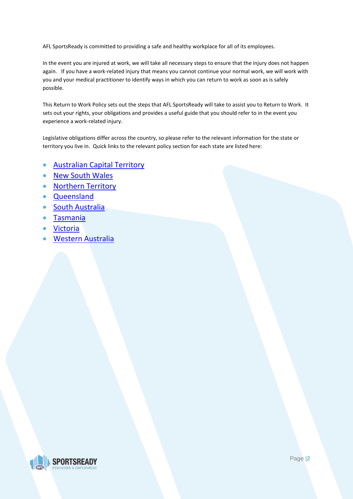AFL SportsReady is committed to providing a safe and healthy workplace for all of its employees.

In the event you are injured at work, we will take all necessary steps to ensure that the injury does not happen again. If you have a work-related injury that means you cannot continue your normal work, we will work with you and your medical practitioner to identify ways in which you can return to work as soon as is safely possible.

This Return to Work Policy sets out the steps that AFL SportsReady will take to assist you to Return to Work. It sets out your rights, your obligations and provides a useful guide that you should refer to in the event you experience a work-related injury.

Legislative obligations differ across the country, so please refer to the relevant information for the state or territory you live in. Quick links to the relevant policy section for each state are listed here:

- [Australian Capital Territory](#page-2-0)
- [New South Wales](#page-4-0)
- [Northern Territory](#page-6-0)
- [Queensland](#page-8-0)
- **[South Australia](#page-10-0)**
- [Tasmania](#page-14-0)
- [Victoria](#page-17-0)
- [Western Australia](#page-20-0)

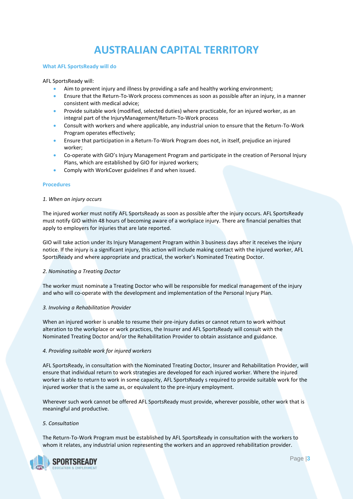# **AUSTRALIAN CAPITAL TERRITORY**

#### <span id="page-2-0"></span>**What AFL SportsReady will do**

# AFL SportsReady will:

- Aim to prevent injury and illness by providing a safe and healthy working environment;
- Ensure that the Return-To-Work process commences as soon as possible after an injury, in a manner consistent with medical advice;
- Provide suitable work (modified, selected duties) where practicable, for an injured worker, as an integral part of the InjuryManagement/Return-To-Work process
- Consult with workers and where applicable, any industrial union to ensure that the Return-To-Work Program operates effectively;
- Ensure that participation in a Return-To-Work Program does not, in itself, prejudice an injured worker;
- Co-operate with GIO's Injury Management Program and participate in the creation of Personal Injury Plans, which are established by GIO for injured workers;
- Comply with WorkCover guidelines if and when issued.

# **Procedures**

# *1. When an injury occurs*

The injured worker must notify AFL SportsReady as soon as possible after the injury occurs. AFL SportsReady must notify GIO within 48 hours of becoming aware of a workplace injury. There are financial penalties that apply to employers for injuries that are late reported.

GIO will take action under its Injury Management Program within 3 business days after it receives the injury notice. If the injury is a significant injury, this action will include making contact with the injured worker, AFL SportsReady and where appropriate and practical, the worker's Nominated Treating Doctor.

# *2. Nominating a Treating Doctor*

The worker must nominate a Treating Doctor who will be responsible for medical management of the injury and who will co-operate with the development and implementation of the Personal Injury Plan.

# *3. Involving a Rehabilitation Provider*

When an injured worker is unable to resume their pre-injury duties or cannot return to work without alteration to the workplace or work practices, the Insurer and AFL SportsReady will consult with the Nominated Treating Doctor and/or the Rehabilitation Provider to obtain assistance and guidance.

# *4. Providing suitable work for injured workers*

AFL SportsReady, in consultation with the Nominated Treating Doctor, Insurer and Rehabilitation Provider, will ensure that individual return to work strategies are developed for each injured worker. Where the injured worker is able to return to work in some capacity, AFL SportsReady s required to provide suitable work for the injured worker that is the same as, or equivalent to the pre-injury employment.

Wherever such work cannot be offered AFL SportsReady must provide, wherever possible, other work that is meaningful and productive.

# *5. Consultation*

The Return-To-Work Program must be established by AFL SportsReady in consultation with the workers to whom it relates, any industrial union representing the workers and an approved rehabilitation provider.

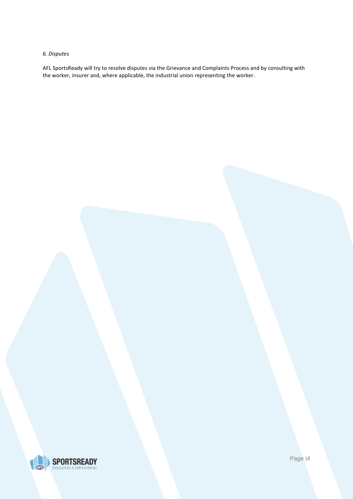# *6. Disputes*

AFL SportsReady will try to resolve disputes via the Grievance and Complaints Process and by consulting with the worker, insurer and, where applicable, the industrial union representing the worker.



Page |**4**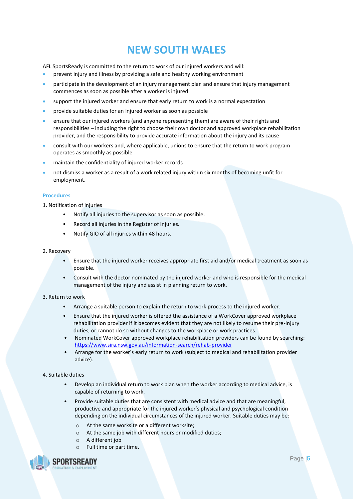# **NEW SOUTH WALES**

<span id="page-4-0"></span>AFL SportsReady is committed to the return to work of our injured workers and will:

- prevent injury and illness by providing a safe and healthy working environment
- participate in the development of an injury management plan and ensure that injury management commences as soon as possible after a worker is injured
- support the injured worker and ensure that early return to work is a normal expectation
- provide suitable duties for an injured worker as soon as possible
- ensure that our injured workers (and anyone representing them) are aware of their rights and responsibilities – including the right to choose their own doctor and approved workplace rehabilitation provider, and the responsibility to provide accurate information about the injury and its cause
- consult with our workers and, where applicable, unions to ensure that the return to work program operates as smoothly as possible
- maintain the confidentiality of injured worker records
- not dismiss a worker as a result of a work related injury within six months of becoming unfit for employment.

# **Procedures**

1. Notification of injuries

- Notify all injuries to the supervisor as soon as possible.
- Record all injuries in the Register of Injuries.
- Notify GIO of all injuries within 48 hours.

# 2. Recovery

- Ensure that the injured worker receives appropriate first aid and/or medical treatment as soon as possible.
- Consult with the doctor nominated by the injured worker and who is responsible for the medical management of the injury and assist in planning return to work.

# 3. Return to work

- Arrange a suitable person to explain the return to work process to the injured worker.
- Ensure that the injured worker is offered the assistance of a WorkCover approved workplace rehabilitation provider if it becomes evident that they are not likely to resume their pre-injury duties, or cannot do so without changes to the workplace or work practices.
- Nominated WorkCover approved workplace rehabilitation providers can be found by searching: <https://www.sira.nsw.gov.au/information-search/rehab-provider>
- Arrange for the worker's early return to work (subject to medical and rehabilitation provider advice).

# 4. Suitable duties

- Develop an individual return to work plan when the worker according to medical advice, is capable of returning to work.
- Provide suitable duties that are consistent with medical advice and that are meaningful, productive and appropriate for the injured worker's physical and psychological condition depending on the individual circumstances of the injured worker. Suitable duties may be:
	- o At the same worksite or a different worksite;
	- o At the same job with different hours or modified duties;
	- o A different job
	- o Full time or part time.

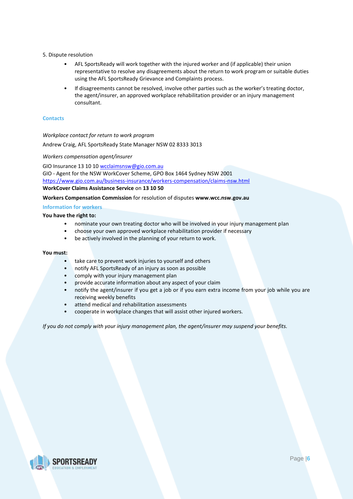- 5. Dispute resolution
	- AFL SportsReady will work together with the injured worker and (if applicable) their union representative to resolve any disagreements about the return to work program or suitable duties using the AFL SportsReady Grievance and Complaints process.
	- If disagreements cannot be resolved, involve other parties such as the worker's treating doctor, the agent/insurer, an approved workplace rehabilitation provider or an injury management consultant.

# **Contacts**

*Workplace contact for return to work program*

Andrew Craig, AFL SportsReady State Manager NSW 02 8333 3013

*Workers compensation agent/insurer*

GIO Insurance 13 10 10 [wcclaimsnsw@gio.com.au](mailto:wcclaimsnsw@gio.com.au) GIO - Agent for the NSW WorkCover Scheme, GPO Box 1464 Sydney NSW 2001 <https://www.gio.com.au/business-insurance/workers-compensation/claims-nsw.html> **WorkCover Claims Assistance Service** on **13 10 50**

**Workers Compensation Commission** for resolution of disputes **www.wcc.nsw.gov.au**

# **Information for workers**

**You have the right to:**

- nominate your own treating doctor who will be involved in your injury management plan
- choose your own approved workplace rehabilitation provider if necessary
- be actively involved in the planning of your return to work.

# **You must:**

- take care to prevent work injuries to yourself and others
- notify AFL SportsReady of an injury as soon as possible
- comply with your injury management plan
- provide accurate information about any aspect of your claim
- notify the agent/insurer if you get a job or if you earn extra income from your job while you are receiving weekly benefits
- attend medical and rehabilitation assessments
- cooperate in workplace changes that will assist other injured workers.

*If you do not comply with your injury management plan, the agent/insurer may suspend your benefits.*

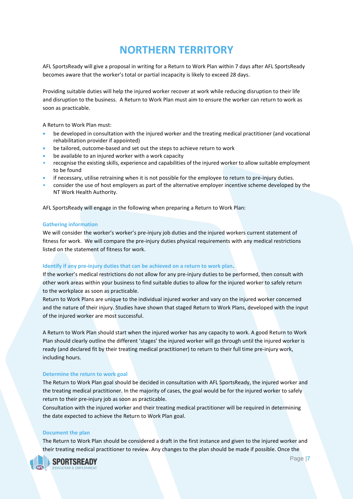# **NORTHERN TERRITORY**

<span id="page-6-0"></span>AFL SportsReady will give a proposal in writing for a Return to Work Plan within 7 days after AFL SportsReady becomes aware that the worker's total or partial incapacity is likely to exceed 28 days.

Providing suitable duties will help the injured worker recover at work while reducing disruption to their life and disruption to the business. A Return to Work Plan must aim to ensure the worker can return to work as soon as practicable.

A Return to Work Plan must:

- be developed in consultation with the injured worker and the treating medical practitioner (and vocational rehabilitation provider if appointed)
- be tailored, outcome-based and set out the steps to achieve return to work
- be available to an injured worker with a work capacity
- recognise the existing skills, experience and capabilities of the injured worker to allow suitable employment to be found
- if necessary, utilise retraining when it is not possible for the employee to return to pre-injury duties.
- consider the use of host employers as part of the alternative employer incentive scheme developed by the NT Work Health Authority.

AFL SportsReady will engage in the following when preparing a Return to Work Plan:

# **Gathering information**

We will consider the worker's worker's pre-injury job duties and the injured workers current statement of fitness for work. We will compare the pre-injury duties physical requirements with any medical restrictions listed on the statement of fitness for work.

# **Identify if any pre-injury duties that can be achieved on a return to work plan**.

If the worker's medical restrictions do not allow for any pre-injury duties to be performed, then consult with other work areas within your business to find suitable duties to allow for the injured worker to safely return to the workplace as soon as practicable.

Return to Work Plans are unique to the individual injured worker and vary on the injured worker concerned and the nature of their injury. Studies have shown that staged Return to Work Plans, developed with the input of the injured worker are most successful.

A Return to Work Plan should start when the injured worker has any capacity to work. A good Return to Work Plan should clearly outline the different 'stages' the injured worker will go through until the injured worker is ready (and declared fit by their treating medical practitioner) to return to their full time pre-injury work, including hours.

# **Determine the return to work goal**

The Return to Work Plan goal should be decided in consultation with AFL SportsReady, the injured worker and the treating medical practitioner. In the majority of cases, the goal would be for the injured worker to safely return to their pre-injury job as soon as practicable.

Consultation with the injured worker and their treating medical practitioner will be required in determining the date expected to achieve the Return to Work Plan goal.

# **Document the plan**

The Return to Work Plan should be considered a draft in the first instance and given to the injured worker and their treating medical practitioner to review. Any changes to the plan should be made if possible. Once the

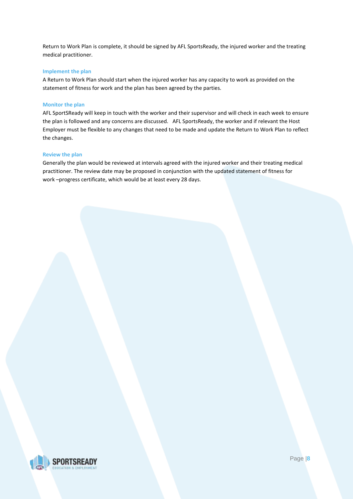Return to Work Plan is complete, it should be signed by AFL SportsReady, the injured worker and the treating medical practitioner.

# **Implement the plan**

A Return to Work Plan should start when the injured worker has any capacity to work as provided on the statement of fitness for work and the plan has been agreed by the parties.

# **Monitor the plan**

AFL SportSReady will keep in touch with the worker and their supervisor and will check in each week to ensure the plan is followed and any concerns are discussed. AFL SportsReady, the worker and if relevant the Host Employer must be flexible to any changes that need to be made and update the Return to Work Plan to reflect the changes.

# **Review the plan**

Generally the plan would be reviewed at intervals agreed with the injured worker and their treating medical practitioner. The review date may be proposed in conjunction with the updated statement of fitness for work –progress certificate, which would be at least every 28 days.

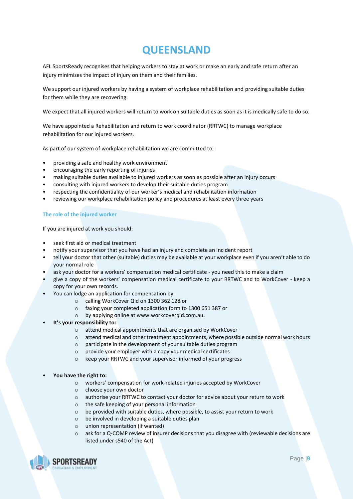# **QUEENSLAND**

<span id="page-8-0"></span>AFL SportsReady recognises that helping workers to stay at work or make an early and safe return after an injury minimises the impact of injury on them and their families.

We support our injured workers by having a system of workplace rehabilitation and providing suitable duties for them while they are recovering.

We expect that all injured workers will return to work on suitable duties as soon as it is medically safe to do so.

We have appointed a Rehabilitation and return to work coordinator (RRTWC) to manage workplace rehabilitation for our injured workers.

As part of our system of workplace rehabilitation we are committed to:

- providing a safe and healthy work environment
- encouraging the early reporting of injuries
- making suitable duties available to injured workers as soon as possible after an injury occurs
- consulting with injured workers to develop their suitable duties program
- respecting the confidentiality of our worker's medical and rehabilitation information
- reviewing our workplace rehabilitation policy and procedures at least every three years

# **The role of the injured worker**

If you are injured at work you should:

- seek first aid or medical treatment
- notify your supervisor that you have had an injury and complete an incident report
- tell your doctor that other (suitable) duties may be available at your workplace even if you aren't able to do your normal role
- ask your doctor for a workers' compensation medical certificate you need this to make a claim
- give a copy of the workers' compensation medical certificate to your RRTWC and to WorkCover keep a copy for your own records.
- You can lodge an application for compensation by:
	- o calling WorkCover Qld on 1300 362 128 or
	- o faxing your completed application form to 1300 651 387 or
	- o by applying online at www.workcoverqld.com.au.
- **It's your responsibility to:**
	- o attend medical appointments that are organised by WorkCover
	- o attend medical and other treatment appointments, where possible outside normal work hours
	- o participate in the development of your suitable duties program
	- o provide your employer with a copy your medical certificates
	- o keep your RRTWC and your supervisor informed of your progress

# • **You have the right to:**

- o workers' compensation for work-related injuries accepted by WorkCover
- o choose your own doctor
- o authorise your RRTWC to contact your doctor for advice about your return to work
- o the safe keeping of your personal information
- o be provided with suitable duties, where possible, to assist your return to work
- o be involved in developing a suitable duties plan
- o union representation (if wanted)
- $\circ$  ask for a Q-COMP review of insurer decisions that you disagree with (reviewable decisions are listed under s540 of the Act)

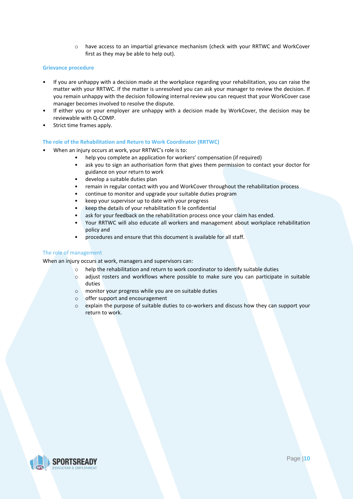o have access to an impartial grievance mechanism (check with your RRTWC and WorkCover first as they may be able to help out).

# **Grievance procedure**

- If you are unhappy with a decision made at the workplace regarding your rehabilitation, you can raise the matter with your RRTWC. If the matter is unresolved you can ask your manager to review the decision. If you remain unhappy with the decision following internal review you can request that your WorkCover case manager becomes involved to resolve the dispute.
- If either you or your employer are unhappy with a decision made by WorkCover, the decision may be reviewable with Q-COMP.
- Strict time frames apply.

# **The role of the Rehabilitation and Return to Work Coordinator (RRTWC)**

- When an injury occurs at work, your RRTWC's role is to:
	- help you complete an application for workers' compensation (if required)
	- ask you to sign an authorisation form that gives them permission to contact your doctor for guidance on your return to work
	- develop a suitable duties plan
	- remain in regular contact with you and WorkCover throughout the rehabilitation process
	- continue to monitor and upgrade your suitable duties program
	- keep your supervisor up to date with your progress
	- keep the details of your rehabilitation fi le confidential
	- ask for your feedback on the rehabilitation process once your claim has ended.
	- Your RRTWC will also educate all workers and management about workplace rehabilitation policy and
	- procedures and ensure that this document is available for all staff.

# The role of management

When an injury occurs at work, managers and supervisors can:

- o help the rehabilitation and return to work coordinator to identify suitable duties
- o adjust rosters and workflows where possible to make sure you can participate in suitable duties
- o monitor your progress while you are on suitable duties
- o offer support and encouragement
- o explain the purpose of suitable duties to co-workers and discuss how they can support your return to work.

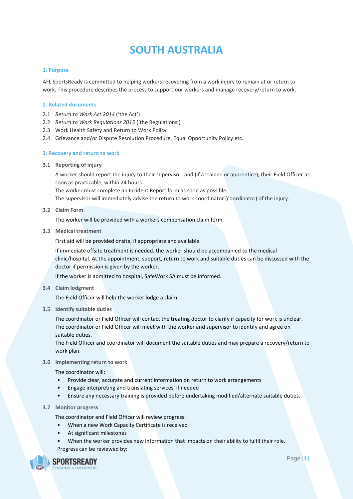# **SOUTH AUSTRALIA**

# <span id="page-10-0"></span>**1. Purpose**

AFL SportsReady is committed to helping workers recovering from a work injury to remain at or return to work. This procedure describes the process to support our workers and manage recovery/return to work.

# **2. Related documents**

- 2.1 *Return to Work Act 2014* ('the Act')
- 2.2 *Return to Work Regulations 2015* ('the Regulations')
- 2.3 Work Health Safety and Return to Work Policy
- 2.4 Grievance and/or Dispute Resolution Procedure, Equal Opportunity Policy etc.

# **3. Recovery and return to work**

**3.1 Reporting of injury**

A worker should report the injury to their supervisor, and (if a trainee or apprentice), their Field Officer as soon as practicable, within 24 hours.

The worker must complete an Incident Report form as soon as possible.

The supervisor will immediately advise the return to work coordinator (coordinator) of the injury.

**3.2 Claim Form** 

The worker will be provided with a workers compensation claim form.

**3.3 Medical treatment**

First aid will be provided onsite, if appropriate and available.

If immediate offsite treatment is needed, the worker should be accompanied to the medical clinic/hospital. At the appointment, support, return to work and suitable duties can be discussed with the doctor if permission is given by the worker.

If the worker is admitted to hospital, SafeWork SA must be informed.

**3.4 Claim lodgment**

The Field Officer will help the worker lodge a claim.

**3.5 Identify suitable duties**

The coordinator or Field Officer will contact the treating doctor to clarify if capacity for work is unclear. The coordinator or Field Officer will meet with the worker and supervisor to identify and agree on suitable duties.

The Field Officer and coordinator will document the suitable duties and may prepare a recovery/return to work plan.

# **3.6 Implementing return to work**

The coordinator will:

- Provide clear, accurate and current information on return to work arrangements
- Engage interpreting and translating services, if needed
- Ensure any necessary training is provided before undertaking modified/alternate suitable duties.
- **3.7 Monitor progress**

The coordinator and Field Officer will review progress:

- When a new Work Capacity Certificate is received
- At significant milestones
- When the worker provides new information that impacts on their ability to fulfil their role. Progress can be reviewed by:

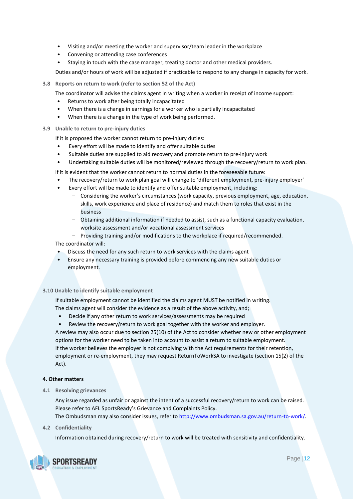- Visiting and/or meeting the worker and supervisor/team leader in the workplace
- Convening or attending case conferences
- Staying in touch with the case manager, treating doctor and other medical providers.

Duties and/or hours of work will be adjusted if practicable to respond to any change in capacity for work.

- **3.8 Reports on return to work (refer to section 52 of the Act)**
	- The coordinator will advise the claims agent in writing when a worker in receipt of income support:
	- Returns to work after being totally incapacitated
	- When there is a change in earnings for a worker who is partially incapacitated
	- When there is a change in the type of work being performed.
- **3.9 Unable to return to pre-injury duties**

If it is proposed the worker cannot return to pre-injury duties:

- Every effort will be made to identify and offer suitable duties
- Suitable duties are supplied to aid recovery and promote return to pre-injury work
- Undertaking suitable duties will be monitored/reviewed through the recovery/return to work plan.

If it is evident that the worker cannot return to normal duties in the foreseeable future:

- The recovery/return to work plan goal will change to 'different employment, pre-injury employer'
- Every effort will be made to identify and offer suitable employment, including:
	- ‒ Considering the worker's circumstances (work capacity, previous employment, age, education, skills, work experience and place of residence) and match them to roles that exist in the business
	- ‒ Obtaining additional information if needed to assist, such as a functional capacity evaluation, worksite assessment and/or vocational assessment services
- ‒ Providing training and/or modifications to the workplace if required/recommended. The coordinator will:
- Discuss the need for any such return to work services with the claims agent
- Ensure any necessary training is provided before commencing any new suitable duties or employment.

# **3.10 Unable to identify suitable employment**

If suitable employment cannot be identified the claims agent MUST be notified in writing. The claims agent will consider the evidence as a result of the above activity, and;

- Decide if any other return to work services/assessments may be required
- Review the recovery/return to work goal together with the worker and employer.

A review may also occur due to section 25(10) of the Act to consider whether new or other employment options for the worker need to be taken into account to assist a return to suitable employment. If the worker believes the employer is not complying with the Act requirements for their retention, employment or re-employment, they may request ReturnToWorkSA to investigate (section 15(2) of the Act).

# **4. Other matters**

**4.1 Resolving grievances**

Any issue regarded as unfair or against the intent of a successful recovery/return to work can be raised. Please refer to AFL SportsReady's Grievance and Complaints Policy. The Ombudsman may also consider issues, refer to [http://www.ombudsman.sa.gov.au/return-to-work/.](http://www.ombudsman.sa.gov.au/return-to-work/)

# **4.2 Confidentiality**

Information obtained during recovery/return to work will be treated with sensitivity and confidentiality.

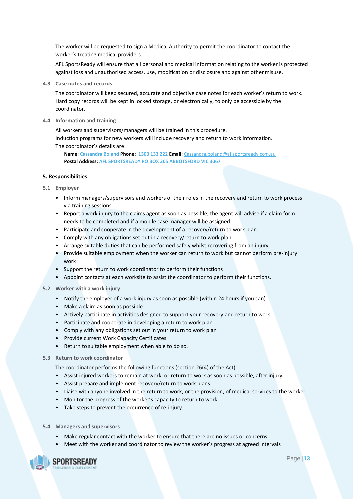The worker will be requested to sign a Medical Authority to permit the coordinator to contact the worker's treating medical providers.

AFL SportsReady will ensure that all personal and medical information relating to the worker is protected against loss and unauthorised access, use, modification or disclosure and against other misuse.

**4.3 Case notes and records**

The coordinator will keep secured, accurate and objective case notes for each worker's return to work. Hard copy records will be kept in locked storage, or electronically, to only be accessible by the coordinator.

**4.4 Information and training**

All workers and supervisors/managers will be trained in this procedure. Induction programs for new workers will include recovery and return to work information. The coordinator's details are:

**Name: Cassandra Boland Phone: 1300 133 222 Email:** [Cassandra.boland@aflsportsready.com.au](mailto:Cassandra.boland@aflsportsready.com.au) **Postal Address: AFL SPORTSREADY PO BOX 305 ABBOTSFORD VIC 3067**

#### **5. Responsibilities**

- **5.1 Employer**
	- Inform managers/supervisors and workers of their roles in the recovery and return to work process via training sessions.
	- Report a work injury to the claims agent as soon as possible; the agent will advise if a claim form needs to be completed and if a mobile case manager will be assigned
	- Participate and cooperate in the development of a recovery/return to work plan
	- Comply with any obligations set out in a recovery/return to work plan
	- Arrange suitable duties that can be performed safely whilst recovering from an injury
	- Provide suitable employment when the worker can return to work but cannot perform pre-injury work
	- Support the return to work coordinator to perform their functions
	- Appoint contacts at each worksite to assist the coordinator to perform their functions.
- **5.2 Worker with a work injury**
	- Notify the employer of a work injury as soon as possible (within 24 hours if you can)
	- Make a claim as soon as possible
	- Actively participate in activities designed to support your recovery and return to work
	- Participate and cooperate in developing a return to work plan
	- Comply with any obligations set out in your return to work plan
	- Provide current Work Capacity Certificates
	- Return to suitable employment when able to do so.

# **5.3 Return to work coordinator**

The coordinator performs the following functions (section 26(4) of the Act):

- Assist injured workers to remain at work, or return to work as soon as possible, after injury
- Assist prepare and implement recovery/return to work plans
- Liaise with anyone involved in the return to work, or the provision, of medical services to the worker
- Monitor the progress of the worker's capacity to return to work
- Take steps to prevent the occurrence of re-injury.
- **5.4 Managers and supervisors**
	- Make regular contact with the worker to ensure that there are no issues or concerns
	- Meet with the worker and coordinator to review the worker's progress at agreed intervals

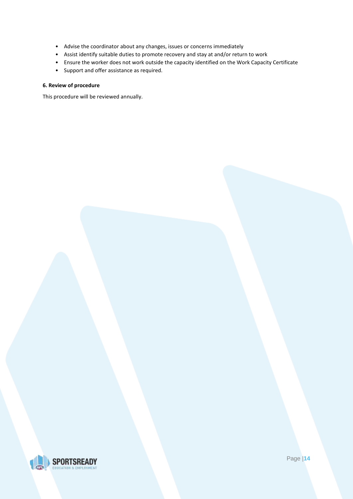- Advise the coordinator about any changes, issues or concerns immediately
- Assist identify suitable duties to promote recovery and stay at and/or return to work
- Ensure the worker does not work outside the capacity identified on the Work Capacity Certificate
- Support and offer assistance as required.

# **6. Review of procedure**

This procedure will be reviewed annually.

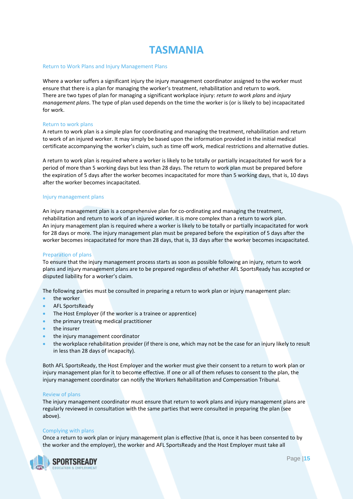# **TASMANIA**

#### <span id="page-14-0"></span>Return to Work Plans and Injury Management Plans

Where a worker suffers a significant injury the injury management coordinator assigned to the worker must ensure that there is a plan for managing the worker's treatment, rehabilitation and return to work. There are two types of plan for managing a significant workplace injury: *return to work plans* and *injury management plans*. The type of plan used depends on the time the worker is (or is likely to be) incapacitated for work.

#### Return to work plans

A return to work plan is a simple plan for coordinating and managing the treatment, rehabilitation and return to work of an injured worker. It may simply be based upon the information provided in the initial medical certificate accompanying the worker's claim, such as time off work, medical restrictions and alternative duties.

A return to work plan is required where a worker is likely to be totally or partially incapacitated for work for a period of more than 5 working days but less than 28 days. The return to work plan must be prepared before the expiration of 5 days after the worker becomes incapacitated for more than 5 working days, that is, 10 days after the worker becomes incapacitated.

# Injury management plans

An injury management plan is a comprehensive plan for co-ordinating and managing the treatment, rehabilitation and return to work of an injured worker. It is more complex than a return to work plan. An injury management plan is required where a worker is likely to be totally or partially incapacitated for work for 28 days or more. The injury management plan must be prepared before the expiration of 5 days after the worker becomes incapacitated for more than 28 days, that is, 33 days after the worker becomes incapacitated.

# Preparation of plans

To ensure that the injury management process starts as soon as possible following an injury, return to work plans and injury management plans are to be prepared regardless of whether AFL SportsReady has accepted or disputed liability for a worker's claim.

The following parties must be consulted in preparing a return to work plan or injury management plan:

- the worker
- AFL SportsReady
- The Host Employer (if the worker is a trainee or apprentice)
- the primary treating medical practitioner
- the insurer
- the injury management coordinator
- the workplace rehabilitation provider (if there is one, which may not be the case for an injury likely to result in less than 28 days of incapacity).

Both AFL SportsReady, the Host Employer and the worker must give their consent to a return to work plan or injury management plan for it to become effective. If one or all of them refuses to consent to the plan, the injury management coordinator can notify the Workers Rehabilitation and Compensation Tribunal.

#### Review of plans

The injury management coordinator must ensure that return to work plans and injury management plans are regularly reviewed in consultation with the same parties that were consulted in preparing the plan (see above).

#### Complying with plans

Once a return to work plan or injury management plan is effective (that is, once it has been consented to by the worker and the employer), the worker and AFL SportsReady and the Host Employer must take all

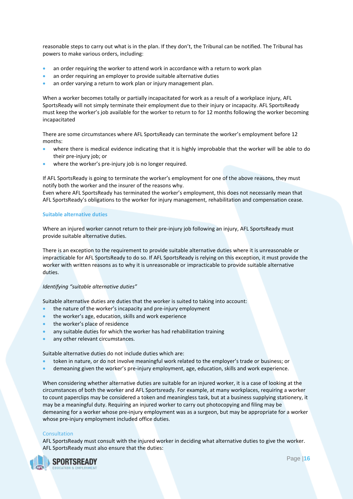reasonable steps to carry out what is in the plan. If they don't, the Tribunal can be notified. The Tribunal has powers to make various orders, including:

- an order requiring the worker to attend work in accordance with a return to work plan
- an order requiring an employer to provide suitable alternative duties
- an order varying a return to work plan or injury management plan.

When a worker becomes totally or partially incapacitated for work as a result of a workplace injury, AFL SportsReady will not simply terminate their employment due to their injury or incapacity. AFL SportsReady must keep the worker's job available for the worker to return to for 12 months following the worker becoming incapacitated

There are some circumstances where AFL SportsReady can terminate the worker's employment before 12 months:

- where there is medical evidence indicating that it is highly improbable that the worker will be able to do their pre-injury job; or
- where the worker's pre-injury job is no longer required.

If AFL SportsReady is going to terminate the worker's employment for one of the above reasons, they must notify both the worker and the insurer of the reasons why.

Even where AFL SportsReady has terminated the worker's employment, this does not necessarily mean that AFL SportsReady's obligations to the worker for injury management, rehabilitation and compensation cease.

# **Suitable alternative duties**

Where an injured worker cannot return to their pre-injury job following an injury, AFL SportsReady must provide suitable alternative duties.

There is an exception to the requirement to provide suitable alternative duties where it is unreasonable or impracticable for AFL SportsReady to do so. If AFL SportsReady is relying on this exception, it must provide the worker with written reasons as to why it is unreasonable or impracticable to provide suitable alternative duties.

# *Identifying "suitable alternative duties"*

Suitable alternative duties are duties that the worker is suited to taking into account:

- the nature of the worker's incapacity and pre-injury employment
- the worker's age, education, skills and work experience
- the worker's place of residence
- any suitable duties for which the worker has had rehabilitation training
- any other relevant circumstances.

Suitable alternative duties do not include duties which are:

- token in nature, or do not involve meaningful work related to the employer's trade or business; or
- demeaning given the worker's pre-injury employment, age, education, skills and work experience.

When considering whether alternative duties are suitable for an injured worker, it is a case of looking at the circumstances of both the worker and AFL Sportsready. For example, at many workplaces, requiring a worker to count paperclips may be considered a token and meaningless task, but at a business supplying stationery, it may be a meaningful duty. Requiring an injured worker to carry out photocopying and filing may be demeaning for a worker whose pre-injury employment was as a surgeon, but may be appropriate for a worker whose pre-injury employment included office duties.

# Consultation

AFL SportsReady must consult with the injured worker in deciding what alternative duties to give the worker. AFL SportsReady must also ensure that the duties:

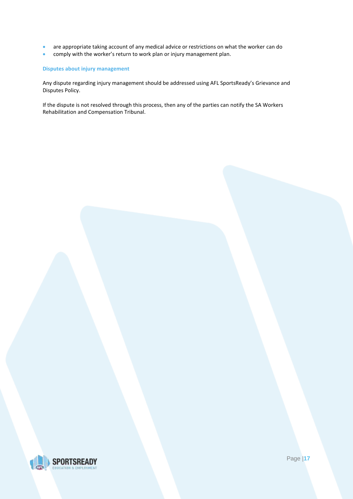- are appropriate taking account of any medical advice or restrictions on what the worker can do
- comply with the worker's return to work plan or injury management plan.

# **Disputes about injury management**

Any dispute regarding injury management should be addressed using AFL SportsReady's Grievance and Disputes Policy.

If the dispute is not resolved through this process, then any of the parties can notify the SA Workers Rehabilitation and Compensation Tribunal.

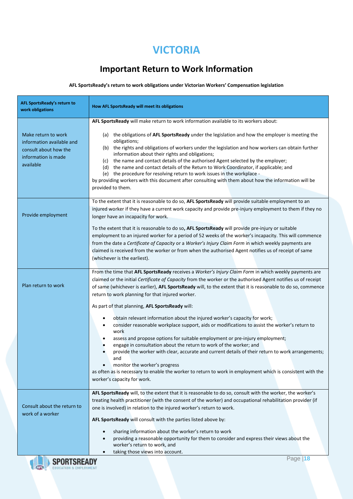# **VICTORIA**

# **Important Return to Work Information**

# <span id="page-17-0"></span>**AFL SportsReady's return to work obligations under Victorian Workers' Compensation legislation**

| AFL SportsReady's return to<br>work obligations           | How AFL SportsReady will meet its obligations                                                                                                                                                                                                                                                                                                                                                                                                                                                                                                  |
|-----------------------------------------------------------|------------------------------------------------------------------------------------------------------------------------------------------------------------------------------------------------------------------------------------------------------------------------------------------------------------------------------------------------------------------------------------------------------------------------------------------------------------------------------------------------------------------------------------------------|
| Make return to work<br>information available and          | AFL SportsReady will make return to work information available to its workers about:<br>(a) the obligations of AFL SportsReady under the legislation and how the employer is meeting the<br>obligations;                                                                                                                                                                                                                                                                                                                                       |
| consult about how the<br>information is made<br>available | (b) the rights and obligations of workers under the legislation and how workers can obtain further<br>information about their rights and obligations;<br>(c) the name and contact details of the authorised Agent selected by the employer;<br>(d) the name and contact details of the Return to Work Coordinator, if applicable; and<br>(e) the procedure for resolving return to work issues in the workplace -<br>by providing workers with this document after consulting with them about how the information will be<br>provided to them. |
|                                                           |                                                                                                                                                                                                                                                                                                                                                                                                                                                                                                                                                |
| Provide employment                                        | To the extent that it is reasonable to do so, AFL SportsReady will provide suitable employment to an<br>injured worker if they have a current work capacity and provide pre-injury employment to them if they no<br>longer have an incapacity for work.                                                                                                                                                                                                                                                                                        |
|                                                           | To the extent that it is reasonable to do so, AFL SportsReady will provide pre-injury or suitable<br>employment to an injured worker for a period of 52 weeks of the worker's incapacity. This will commence                                                                                                                                                                                                                                                                                                                                   |
|                                                           | from the date a Certificate of Capacity or a Worker's Injury Claim Form in which weekly payments are<br>claimed is received from the worker or from when the authorised Agent notifies us of receipt of same                                                                                                                                                                                                                                                                                                                                   |
|                                                           | (whichever is the earliest).                                                                                                                                                                                                                                                                                                                                                                                                                                                                                                                   |
| Plan return to work                                       | From the time that AFL SportsReady receives a Worker's Injury Claim Form in which weekly payments are<br>claimed or the initial Certificate of Capacity from the worker or the authorised Agent notifies us of receipt<br>of same (whichever is earlier), AFL SportsReady will, to the extent that it is reasonable to do so, commence<br>return to work planning for that injured worker.                                                                                                                                                     |
|                                                           | As part of that planning, AFL SportsReady will:                                                                                                                                                                                                                                                                                                                                                                                                                                                                                                |
|                                                           | obtain relevant information about the injured worker's capacity for work;<br>٠<br>consider reasonable workplace support, aids or modifications to assist the worker's return to<br>٠<br>work                                                                                                                                                                                                                                                                                                                                                   |
|                                                           | assess and propose options for suitable employment or pre-injury employment;<br>engage in consultation about the return to work of the worker; and                                                                                                                                                                                                                                                                                                                                                                                             |
|                                                           | provide the worker with clear, accurate and current details of their return to work arrangements;<br>and                                                                                                                                                                                                                                                                                                                                                                                                                                       |
|                                                           | monitor the worker's progress<br>as often as is necessary to enable the worker to return to work in employment which is consistent with the<br>worker's capacity for work.                                                                                                                                                                                                                                                                                                                                                                     |
|                                                           | AFL SportsReady will, to the extent that it is reasonable to do so, consult with the worker, the worker's<br>treating health practitioner (with the consent of the worker) and occupational rehabilitation provider (if                                                                                                                                                                                                                                                                                                                        |
| Consult about the return to<br>work of a worker           | one is involved) in relation to the injured worker's return to work.                                                                                                                                                                                                                                                                                                                                                                                                                                                                           |
|                                                           | AFL SportsReady will consult with the parties listed above by:                                                                                                                                                                                                                                                                                                                                                                                                                                                                                 |
|                                                           | sharing information about the worker's return to work<br>providing a reasonable opportunity for them to consider and express their views about the                                                                                                                                                                                                                                                                                                                                                                                             |
|                                                           | worker's return to work, and<br>taking those views into account.                                                                                                                                                                                                                                                                                                                                                                                                                                                                               |
|                                                           | Page 18                                                                                                                                                                                                                                                                                                                                                                                                                                                                                                                                        |

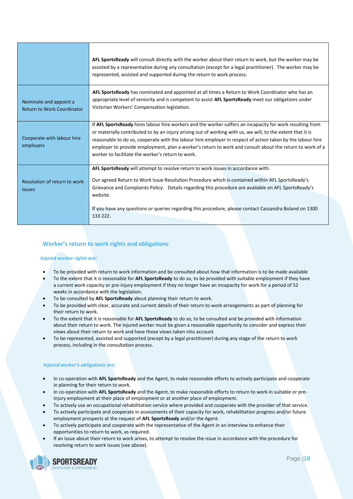|                                                             | AFL Sports Ready will consult directly with the worker about their return to work, but the worker may be<br>assisted by a representative during any consultation (except for a legal practitioner). The worker may be<br>represented, assisted and supported during the return to work process.                                                                                                                                                                                                         |
|-------------------------------------------------------------|---------------------------------------------------------------------------------------------------------------------------------------------------------------------------------------------------------------------------------------------------------------------------------------------------------------------------------------------------------------------------------------------------------------------------------------------------------------------------------------------------------|
| Nominate and appoint a<br><b>Return to Work Coordinator</b> | AFL Sports Ready has nominated and appointed at all times a Return to Work Coordinator who has an<br>appropriate level of seniority and is competent to assist AFL SportsReady meet our obligations under<br>Victorian Workers' Compensation legislation.                                                                                                                                                                                                                                               |
| Cooperate with labour hire<br>employers                     | If AFL SportsReady hires labour hire workers and the worker suffers an incapacity for work resulting from<br>or materially contributed to by an injury arising out of working with us, we will, to the extent that it is<br>reasonable to do so, cooperate with the labour hire employer in respect of action taken by the labour hire<br>employer to provide employment, plan a worker's return to work and consult about the return to work of a<br>worker to facilitate the worker's return to work. |
| Resolution of return to work<br><b>issues</b>               | AFL SportsReady will attempt to resolve return to work issues in accordance with:<br>Our agreed Return to Work Issue Resolution Procedure which is contained within AFL SportsReady's<br>Grievance and Complaints Policy. Details regarding this procedure are available on AFL SportsReady's<br>website.                                                                                                                                                                                               |
|                                                             | If you have any questions or queries regarding this procedure, please contact Cassandra Boland on 1300<br>133 222.                                                                                                                                                                                                                                                                                                                                                                                      |

# **Worker's return to work rights and obligations**

# *Injured worker rights are:*

- To be provided with return to work information and be consulted about how that information is to be made available
- To the extent that it is reasonable for **AFL SportsReady** to do so, to be provided with suitable employment if they have a current work capacity or pre-injury employment if they no longer have an incapacity for work for a period of 52 weeks in accordance with the legislation.
- To be consulted by **AFL SportsReady** about planning their return to work.
- To be provided with clear, accurate and current details of their return to work arrangements as part of planning for their return to work.
- To the extent that it is reasonable for **AFL SportsReady** to do so, to be consulted and be provided with information about their return to work. The injured worker must be given a reasonable opportunity to consider and express their views about their return to work and have those views taken into account.
- To be represented, assisted and supported (except by a legal practitioner) during any stage of the return to work process, including in the consultation process.

# *Injured worker's obligations are:*

- In co-operation with **AFL SportsReady** and the Agent, to make reasonable efforts to actively participate and cooperate in planning for their return to work.
- In co-operation with **AFL SportsReady** and the Agent, to make reasonable efforts to return to work in suitable or preinjury employment at their place of employment or at another place of employment.
- To actively use an occupational rehabilitation service where provided and cooperate with the provider of that service.
- To actively participate and cooperate in assessments of their capacity for work, rehabilitation progress and/or future employment prospects at the request of **AFL SportsReady** and/or the Agent.
- To actively participate and cooperate with the representative of the Agent in an interview to enhance their opportunities to return to work, as required.
- If an issue about their return to work arises, to attempt to resolve the issue in accordance with the procedure for resolving return to work issues (see above).

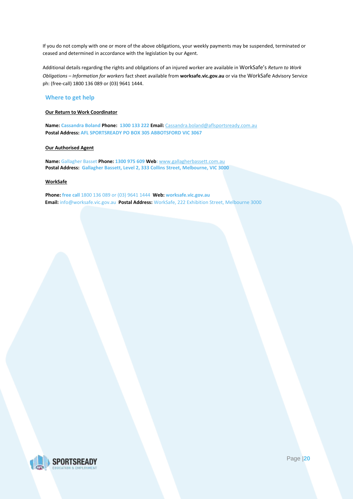If you do not comply with one or more of the above obligations, your weekly payments may be suspended, terminated or ceased and determined in accordance with the legislation by our Agent.

Additional details regarding the rights and obligations of an injured worker are available in WorkSafe's *Return to Work Obligations – Information for workers* fact sheet available from **worksafe.vic.gov.au** or via the WorkSafe Advisory Service ph: (free-call) 1800 136 089 or (03) 9641 1444.

# **Where to get help**

# **Our Return to Work Coordinator**

**Name: Cassandra Boland Phone: 1300 133 222 Email:** [Cassandra.boland@aflsportsready.com.au](mailto:Cassandra.boland@aflsportsready.com.au) **Postal Address: AFL SPORTSREADY PO BOX 305 ABBOTSFORD VIC 3067**

#### **Our Authorised Agent**

**Name:** Gallagher Basset **Phone: 1300 975 609 Web:** [www.gallagherbassett.com.au](http://www.gallagherbassett.com.au/)  **Postal Address: Gallagher Bassett, Level 2, 333 Collins Street, Melbourne, VIC 3000**

# **WorkSafe**

**Phone: free call** 1800 136 089 or (03) 9641 1444 **Web: worksafe.vic.gov.au Email:** info@worksafe.vic.gov.au **Postal Address:** WorkSafe, 222 Exhibition Street, Melbourne 3000

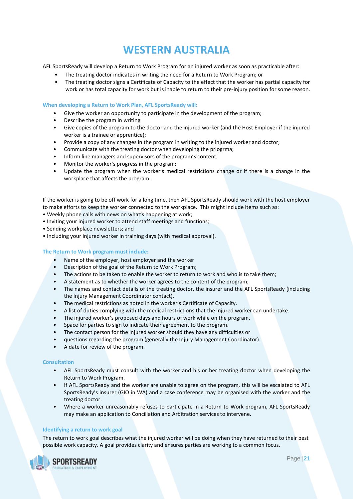# **WESTERN AUSTRALIA**

<span id="page-20-0"></span>AFL SportsReady will develop a Return to Work Program for an injured worker as soon as practicable after:

- The treating doctor indicates in writing the need for a Return to Work Program; or
- The treating doctor signs a Certificate of Capacity to the effect that the worker has partial capacity for work or has total capacity for work but is inable to return to their pre-injury position for some reason.

# **When developing a Return to Work Plan, AFL SportsReady will:**

- Give the worker an opportunity to participate in the development of the program;
- Describe the program in writing
- Give copies of the program to the doctor and the injured worker (and the Host Employer if the injured worker is a trainee or apprentice);
- Provide a copy of any changes in the program in writing to the injured worker and doctor;
- Communicate with the treating doctor when developing the priogrma;
- Inform line managers and supervisors of the program's content;
- Monitor the worker's progress in the program;
- Update the program when the worker's medical restrictions change or if there is a change in the workplace that affects the program.

If the worker is going to be off work for a long time, then AFL SportsReady should work with the host employer to make efforts to keep the worker connected to the workplace. This might include items such as:

- Weekly phone calls with news on what's happening at work;
- Inviting your injured worker to attend staff meetings and functions;
- Sending workplace newsletters; and
- Including your injured worker in training days (with medical approval).

# **The Return to Work program must include:**

- Name of the employer, host employer and the worker
- Description of the goal of the Return to Work Program;
- The actions to be taken to enable the worker to return to work and who is to take them;
- A statement as to whether the worker agrees to the content of the program;
- The names and contact details of the treating doctor, the insurer and the AFL SportsReady (including the Injury Management Coordinator contact).
- The medical restrictions as noted in the worker's Certificate of Capacity.
- A list of duties complying with the medical restrictions that the injured worker can undertake.
- The injured worker's proposed days and hours of work while on the program.
- Space for parties to sign to indicate their agreement to the program.
- The contact person for the injured worker should they have any difficulties or
- questions regarding the program (generally the Injury Management Coordinator).
- A date for review of the program.

# **Consultation**

- AFL SportsReady must consult with the worker and his or her treating doctor when developing the Return to Work Program.
- If AFL SportsReady and the worker are unable to agree on the program, this will be escalated to AFL SportsReady's insurer (GIO in WA) and a case conference may be organised with the worker and the treating doctor.
- Where a worker unreasonably refuses to participate in a Return to Work program, AFL SportsReady may make an application to Conciliation and Arbitration services to intervene.

# **Identifying a return to work goal**

The return to work goal describes what the injured worker will be doing when they have returned to their best possible work capacity. A goal provides clarity and ensures parties are working to a common focus.

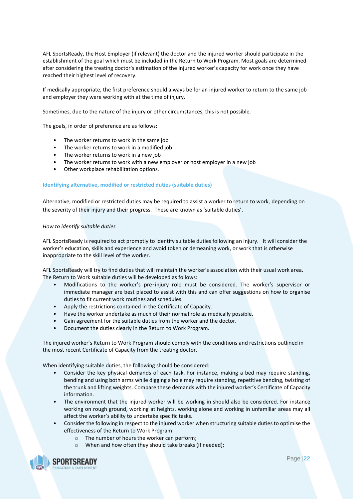AFL SportsReady, the Host Employer (if relevant) the doctor and the injured worker should participate in the establishment of the goal which must be included in the Return to Work Program. Most goals are determined after considering the treating doctor's estimation of the injured worker's capacity for work once they have reached their highest level of recovery.

If medically appropriate, the first preference should always be for an injured worker to return to the same job and employer they were working with at the time of injury.

Sometimes, due to the nature of the injury or other circumstances, this is not possible.

The goals, in order of preference are as follows:

- The worker returns to work in the same job
- The worker returns to work in a modified job
- The worker returns to work in a new job
- The worker returns to work with a new employer or host employer in a new job
- Other workplace rehabilitation options.

# **Identifying alternative, modified or restricted duties (suitable duties)**

Alternative, modified or restricted duties may be required to assist a worker to return to work, depending on the severity of their injury and their progress. These are known as 'suitable duties'.

# *How to identify suitable duties*

AFL SportsReady is required to act promptly to identify suitable duties following an injury. It will consider the worker's education, skills and experience and avoid token or demeaning work, or work that is otherwise inappropriate to the skill level of the worker.

AFL SportsReady will try to find duties that will maintain the worker's association with their usual work area. The Return to Work suitable duties will be developed as follows:

- Modifications to the worker's pre‑injury role must be considered. The worker's supervisor or immediate manager are best placed to assist with this and can offer suggestions on how to organise duties to fit current work routines and schedules.
- Apply the restrictions contained in the Certificate of Capacity.
- Have the worker undertake as much of their normal role as medically possible.
- Gain agreement for the suitable duties from the worker and the doctor.
- Document the duties clearly in the Return to Work Program.

The injured worker's Return to Work Program should comply with the conditions and restrictions outlined in the most recent Certificate of Capacity from the treating doctor.

When identifying suitable duties, the following should be considered:

- Consider the key physical demands of each task. For instance, making a bed may require standing, bending and using both arms while digging a hole may require standing, repetitive bending, twisting of the trunk and lifting weights. Compare these demands with the injured worker's Certificate of Capacity information.
- The environment that the injured worker will be working in should also be considered. For instance working on rough ground, working at heights, working alone and working in unfamiliar areas may all affect the worker's ability to undertake specific tasks.
- Consider the following in respect to the injured worker when structuring suitable duties to optimise the effectiveness of the Return to Work Program:
	- o The number of hours the worker can perform;
	- o When and how often they should take breaks (if needed);

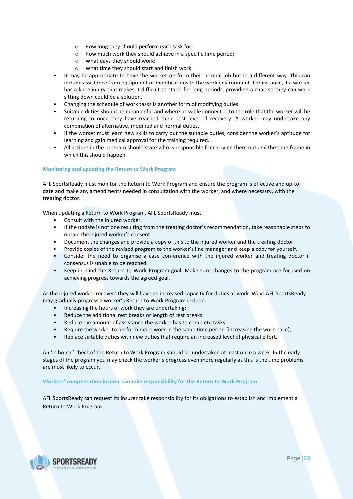- o How long they should perform each task for;
- o How much work they should achieve in a specific time period;
- o What days they should work;
- o What time they should start and finish work.
- It may be appropriate to have the worker perform their normal job but in a different way. This can include assistance from equipment or modifications to the work environment. For instance, if a worker has a knee injury that makes it difficult to stand for long periods, providing a chair so they can work sitting down could be a solution.
- Changing the schedule of work tasks is another form of modifying duties.
- Suitable duties should be meaningful and where possible connected to the role that the worker will be returning to once they have reached their best level of recovery. A worker may undertake any combination of alternative, modified and normal duties.
- If the worker must learn new skills to carry out the suitable duties, consider the worker's aptitude for learning and gain medical approval for the training required.
- All actions in the program should state who is responsible for carrying them out and the time frame in which this should happen.

# **Monitoring and updating the Return to Work Program**

AFL SportsReady must monitor the Return to Work Program and ensure the program is effective and up-todate and make any amendments needed in consultation with the worker, and where necessary, with the treating doctor.

When updating a Return to Work Program, AFL SportsReady must:

- Consult with the injured worker.
- If the update is not one resulting from the treating doctor's recommendation, take reasonable steps to obtain the injured worker's consent.
- Document the changes and provide a copy of this to the injured worker and the treating doctor.
- Provide copies of the revised program to the worker's line manager and keep a copy for yourself.
- Consider the need to organise a case conference with the injured worker and treating doctor if consensus is unable to be reached.
- Keep in mind the Return to Work Program goal. Make sure changes to the program are focused on achieving progress towards the agreed goal.

As the injured worker recovers they will have an increased capacity for duties at work. Ways AFL SportsReady may gradually progress a worker's Return to Work Program include:

- Increasing the hours of work they are undertaking;
- Reduce the additional rest breaks or length of rest breaks;
- Reduce the amount of assistance the worker has to complete tasks;
- Require the worker to perform more work in the same time period (increasing the work pace);
- Replace suitable duties with new duties that require an increased level of physical effort.

An 'in house' check of the Return to Work Program should be undertaken at least once a week. In the early stages of the program you may check the worker's progress even more regularly as this is the time problems are most likely to occur.

# **Workers' compensation insurer can take responsibility for the Return to Work Program**

AFL SportsReady can request its insurer take responsibility for its obligations to establish and implement a Return to Work Program.